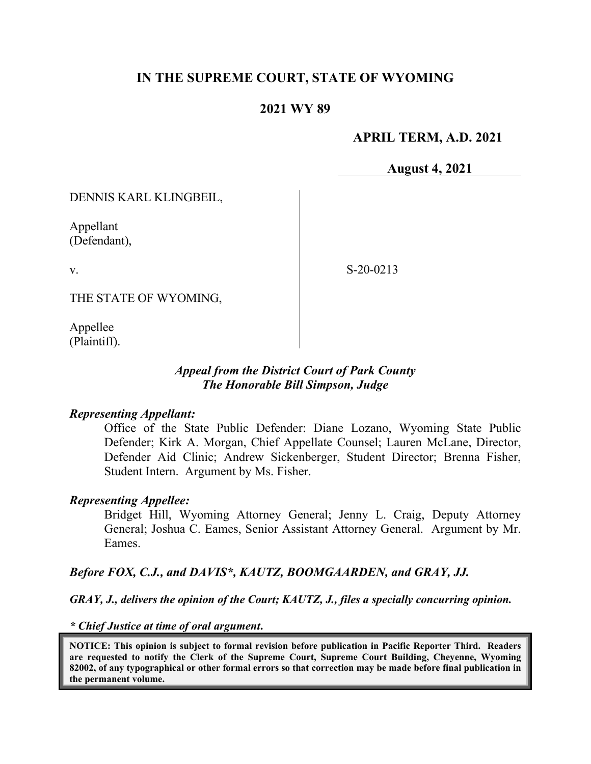# **IN THE SUPREME COURT, STATE OF WYOMING**

## **2021 WY 89**

#### **APRIL TERM, A.D. 2021**

**August 4, 2021**

DENNIS KARL KLINGBEIL,

Appellant (Defendant),

v.

S-20-0213

THE STATE OF WYOMING,

Appellee (Plaintiff).

#### *Appeal from the District Court of Park County The Honorable Bill Simpson, Judge*

#### *Representing Appellant:*

Office of the State Public Defender: Diane Lozano, Wyoming State Public Defender; Kirk A. Morgan, Chief Appellate Counsel; Lauren McLane, Director, Defender Aid Clinic; Andrew Sickenberger, Student Director; Brenna Fisher, Student Intern. Argument by Ms. Fisher.

#### *Representing Appellee:*

Bridget Hill, Wyoming Attorney General; Jenny L. Craig, Deputy Attorney General; Joshua C. Eames, Senior Assistant Attorney General. Argument by Mr. Eames.

#### *Before FOX, C.J., and DAVIS\*, KAUTZ, BOOMGAARDEN, and GRAY, JJ.*

*GRAY, J., delivers the opinion of the Court; KAUTZ, J., files a specially concurring opinion.*

*\* Chief Justice at time of oral argument***.**

**NOTICE: This opinion is subject to formal revision before publication in Pacific Reporter Third. Readers are requested to notify the Clerk of the Supreme Court, Supreme Court Building, Cheyenne, Wyoming 82002, of any typographical or other formal errors so that correction may be made before final publication in the permanent volume.**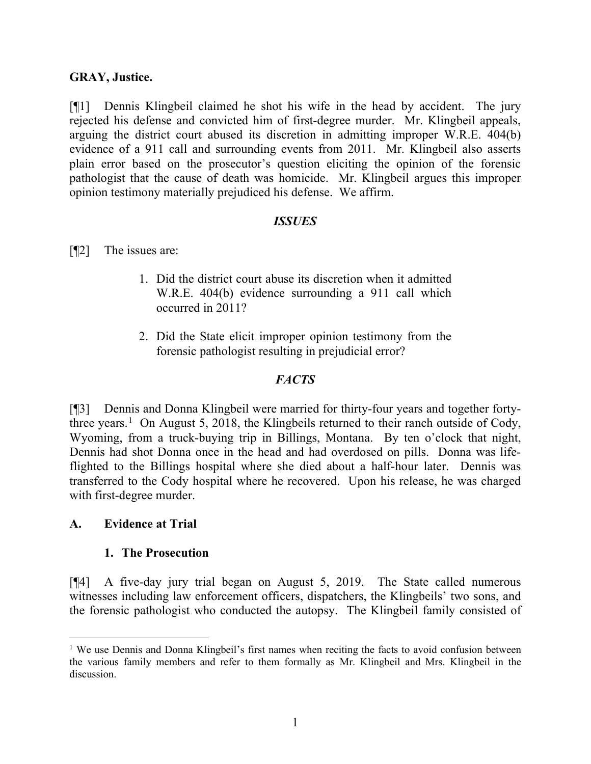## **GRAY, Justice.**

[¶1] Dennis Klingbeil claimed he shot his wife in the head by accident. The jury rejected his defense and convicted him of first-degree murder. Mr. Klingbeil appeals, arguing the district court abused its discretion in admitting improper W.R.E. 404(b) evidence of a 911 call and surrounding events from 2011. Mr. Klingbeil also asserts plain error based on the prosecutor's question eliciting the opinion of the forensic pathologist that the cause of death was homicide. Mr. Klingbeil argues this improper opinion testimony materially prejudiced his defense. We affirm.

## *ISSUES*

[¶2] The issues are:

- 1. Did the district court abuse its discretion when it admitted W.R.E. 404(b) evidence surrounding a 911 call which occurred in 2011?
- 2. Did the State elicit improper opinion testimony from the forensic pathologist resulting in prejudicial error?

## *FACTS*

[¶3] Dennis and Donna Klingbeil were married for thirty-four years and together forty-three years.<sup>[1](#page-1-0)</sup> On August 5, 2018, the Klingbeils returned to their ranch outside of Cody, Wyoming, from a truck-buying trip in Billings, Montana. By ten o'clock that night, Dennis had shot Donna once in the head and had overdosed on pills. Donna was lifeflighted to the Billings hospital where she died about a half-hour later. Dennis was transferred to the Cody hospital where he recovered. Upon his release, he was charged with first-degree murder.

## **A. Evidence at Trial**

#### **1. The Prosecution**

[¶4] A five-day jury trial began on August 5, 2019. The State called numerous witnesses including law enforcement officers, dispatchers, the Klingbeils' two sons, and the forensic pathologist who conducted the autopsy. The Klingbeil family consisted of

<span id="page-1-0"></span><sup>&</sup>lt;sup>1</sup> We use Dennis and Donna Klingbeil's first names when reciting the facts to avoid confusion between the various family members and refer to them formally as Mr. Klingbeil and Mrs. Klingbeil in the discussion.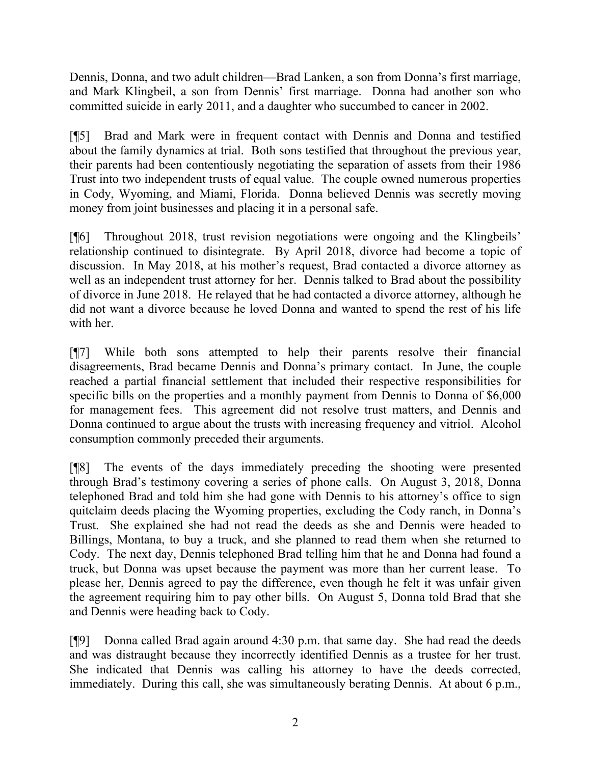Dennis, Donna, and two adult children—Brad Lanken, a son from Donna's first marriage, and Mark Klingbeil, a son from Dennis' first marriage. Donna had another son who committed suicide in early 2011, and a daughter who succumbed to cancer in 2002.

[¶5] Brad and Mark were in frequent contact with Dennis and Donna and testified about the family dynamics at trial. Both sons testified that throughout the previous year, their parents had been contentiously negotiating the separation of assets from their 1986 Trust into two independent trusts of equal value. The couple owned numerous properties in Cody, Wyoming, and Miami, Florida. Donna believed Dennis was secretly moving money from joint businesses and placing it in a personal safe.

[¶6] Throughout 2018, trust revision negotiations were ongoing and the Klingbeils' relationship continued to disintegrate. By April 2018, divorce had become a topic of discussion. In May 2018, at his mother's request, Brad contacted a divorce attorney as well as an independent trust attorney for her. Dennis talked to Brad about the possibility of divorce in June 2018. He relayed that he had contacted a divorce attorney, although he did not want a divorce because he loved Donna and wanted to spend the rest of his life with her.

[¶7] While both sons attempted to help their parents resolve their financial disagreements, Brad became Dennis and Donna's primary contact. In June, the couple reached a partial financial settlement that included their respective responsibilities for specific bills on the properties and a monthly payment from Dennis to Donna of \$6,000 for management fees. This agreement did not resolve trust matters, and Dennis and Donna continued to argue about the trusts with increasing frequency and vitriol. Alcohol consumption commonly preceded their arguments.

[¶8] The events of the days immediately preceding the shooting were presented through Brad's testimony covering a series of phone calls. On August 3, 2018, Donna telephoned Brad and told him she had gone with Dennis to his attorney's office to sign quitclaim deeds placing the Wyoming properties, excluding the Cody ranch, in Donna's Trust. She explained she had not read the deeds as she and Dennis were headed to Billings, Montana, to buy a truck, and she planned to read them when she returned to Cody. The next day, Dennis telephoned Brad telling him that he and Donna had found a truck, but Donna was upset because the payment was more than her current lease. To please her, Dennis agreed to pay the difference, even though he felt it was unfair given the agreement requiring him to pay other bills. On August 5, Donna told Brad that she and Dennis were heading back to Cody.

[¶9] Donna called Brad again around 4:30 p.m. that same day. She had read the deeds and was distraught because they incorrectly identified Dennis as a trustee for her trust. She indicated that Dennis was calling his attorney to have the deeds corrected, immediately. During this call, she was simultaneously berating Dennis. At about 6 p.m.,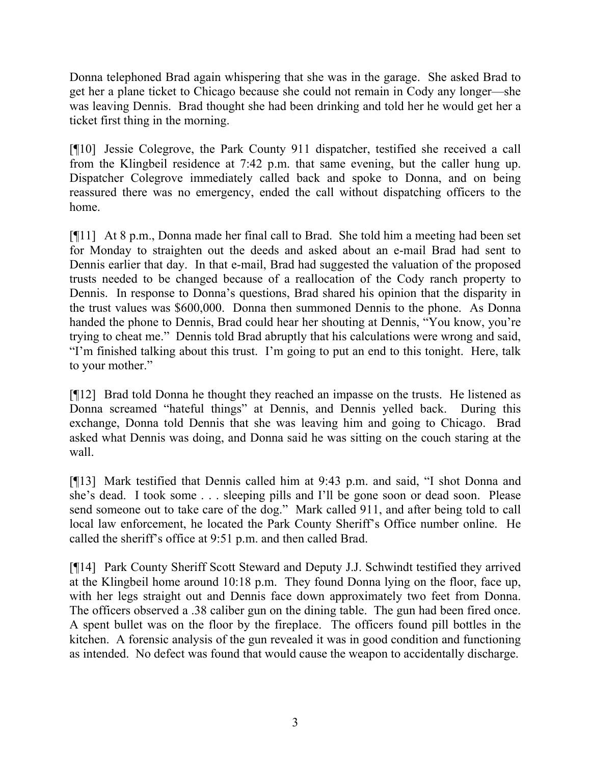Donna telephoned Brad again whispering that she was in the garage. She asked Brad to get her a plane ticket to Chicago because she could not remain in Cody any longer—she was leaving Dennis. Brad thought she had been drinking and told her he would get her a ticket first thing in the morning.

[¶10] Jessie Colegrove, the Park County 911 dispatcher, testified she received a call from the Klingbeil residence at 7:42 p.m. that same evening, but the caller hung up. Dispatcher Colegrove immediately called back and spoke to Donna, and on being reassured there was no emergency, ended the call without dispatching officers to the home.

[¶11] At 8 p.m., Donna made her final call to Brad. She told him a meeting had been set for Monday to straighten out the deeds and asked about an e-mail Brad had sent to Dennis earlier that day. In that e-mail, Brad had suggested the valuation of the proposed trusts needed to be changed because of a reallocation of the Cody ranch property to Dennis. In response to Donna's questions, Brad shared his opinion that the disparity in the trust values was \$600,000. Donna then summoned Dennis to the phone. As Donna handed the phone to Dennis, Brad could hear her shouting at Dennis, "You know, you're trying to cheat me." Dennis told Brad abruptly that his calculations were wrong and said, "I'm finished talking about this trust. I'm going to put an end to this tonight. Here, talk to your mother."

[¶12] Brad told Donna he thought they reached an impasse on the trusts. He listened as Donna screamed "hateful things" at Dennis, and Dennis yelled back. During this exchange, Donna told Dennis that she was leaving him and going to Chicago. Brad asked what Dennis was doing, and Donna said he was sitting on the couch staring at the wall.

[¶13] Mark testified that Dennis called him at 9:43 p.m. and said, "I shot Donna and she's dead. I took some . . . sleeping pills and I'll be gone soon or dead soon. Please send someone out to take care of the dog." Mark called 911, and after being told to call local law enforcement, he located the Park County Sheriff's Office number online. He called the sheriff's office at 9:51 p.m. and then called Brad.

[¶14] Park County Sheriff Scott Steward and Deputy J.J. Schwindt testified they arrived at the Klingbeil home around 10:18 p.m. They found Donna lying on the floor, face up, with her legs straight out and Dennis face down approximately two feet from Donna. The officers observed a .38 caliber gun on the dining table. The gun had been fired once. A spent bullet was on the floor by the fireplace. The officers found pill bottles in the kitchen. A forensic analysis of the gun revealed it was in good condition and functioning as intended. No defect was found that would cause the weapon to accidentally discharge.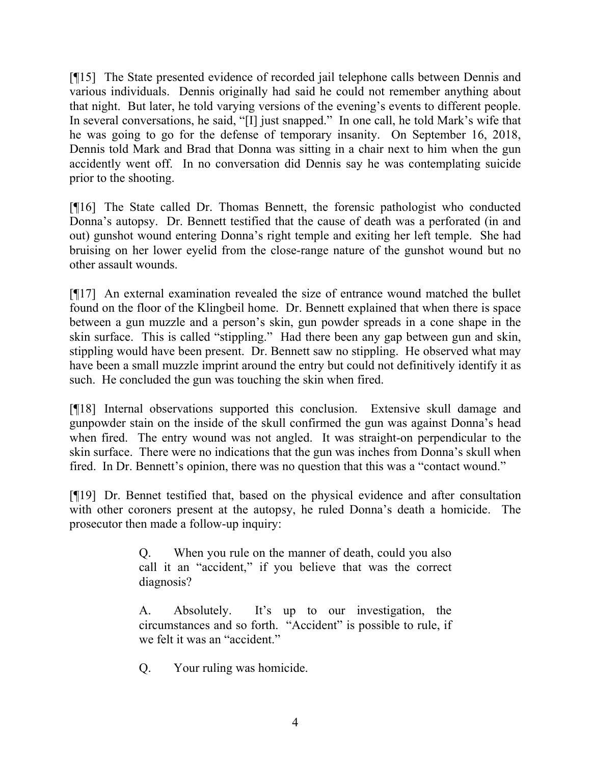[¶15] The State presented evidence of recorded jail telephone calls between Dennis and various individuals. Dennis originally had said he could not remember anything about that night. But later, he told varying versions of the evening's events to different people. In several conversations, he said, "[I] just snapped." In one call, he told Mark's wife that he was going to go for the defense of temporary insanity. On September 16, 2018, Dennis told Mark and Brad that Donna was sitting in a chair next to him when the gun accidently went off. In no conversation did Dennis say he was contemplating suicide prior to the shooting.

[¶16] The State called Dr. Thomas Bennett, the forensic pathologist who conducted Donna's autopsy. Dr. Bennett testified that the cause of death was a perforated (in and out) gunshot wound entering Donna's right temple and exiting her left temple. She had bruising on her lower eyelid from the close-range nature of the gunshot wound but no other assault wounds.

[¶17] An external examination revealed the size of entrance wound matched the bullet found on the floor of the Klingbeil home. Dr. Bennett explained that when there is space between a gun muzzle and a person's skin, gun powder spreads in a cone shape in the skin surface. This is called "stippling." Had there been any gap between gun and skin, stippling would have been present. Dr. Bennett saw no stippling. He observed what may have been a small muzzle imprint around the entry but could not definitively identify it as such. He concluded the gun was touching the skin when fired.

[¶18] Internal observations supported this conclusion. Extensive skull damage and gunpowder stain on the inside of the skull confirmed the gun was against Donna's head when fired. The entry wound was not angled. It was straight-on perpendicular to the skin surface. There were no indications that the gun was inches from Donna's skull when fired. In Dr. Bennett's opinion, there was no question that this was a "contact wound."

[¶19] Dr. Bennet testified that, based on the physical evidence and after consultation with other coroners present at the autopsy, he ruled Donna's death a homicide. The prosecutor then made a follow-up inquiry:

> Q. When you rule on the manner of death, could you also call it an "accident," if you believe that was the correct diagnosis?

> A. Absolutely. It's up to our investigation, the circumstances and so forth. "Accident" is possible to rule, if we felt it was an "accident."

Q. Your ruling was homicide.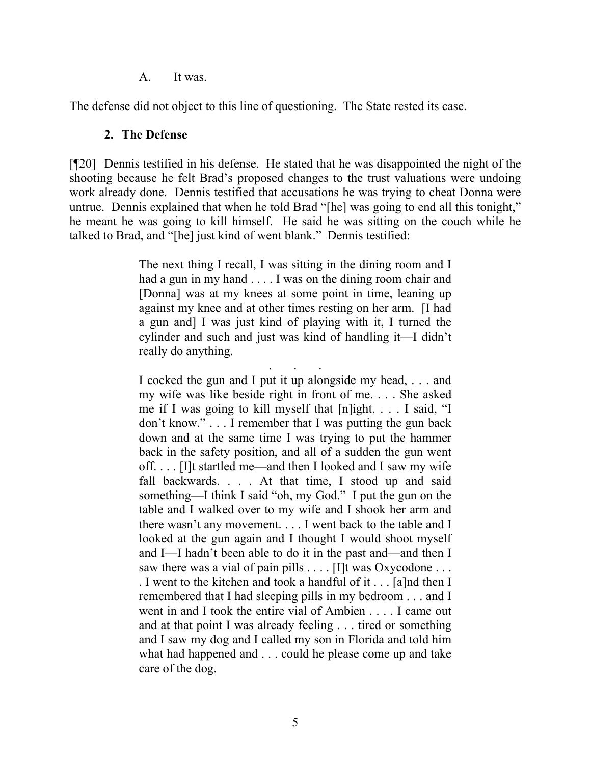A. It was.

The defense did not object to this line of questioning. The State rested its case.

#### **2. The Defense**

[¶20] Dennis testified in his defense. He stated that he was disappointed the night of the shooting because he felt Brad's proposed changes to the trust valuations were undoing work already done. Dennis testified that accusations he was trying to cheat Donna were untrue. Dennis explained that when he told Brad "[he] was going to end all this tonight," he meant he was going to kill himself. He said he was sitting on the couch while he talked to Brad, and "[he] just kind of went blank." Dennis testified:

> The next thing I recall, I was sitting in the dining room and I had a gun in my hand . . . . I was on the dining room chair and [Donna] was at my knees at some point in time, leaning up against my knee and at other times resting on her arm. [I had a gun and] I was just kind of playing with it, I turned the cylinder and such and just was kind of handling it—I didn't really do anything.

> . . . I cocked the gun and I put it up alongside my head, . . . and my wife was like beside right in front of me. . . . She asked me if I was going to kill myself that [n]ight. . . . I said, "I don't know." . . . I remember that I was putting the gun back down and at the same time I was trying to put the hammer back in the safety position, and all of a sudden the gun went off. . . . [I]t startled me—and then I looked and I saw my wife fall backwards. . . . At that time, I stood up and said something—I think I said "oh, my God." I put the gun on the table and I walked over to my wife and I shook her arm and there wasn't any movement. . . . I went back to the table and I looked at the gun again and I thought I would shoot myself and I—I hadn't been able to do it in the past and—and then I saw there was a vial of pain pills . . . . [I]t was Oxycodone . . . . I went to the kitchen and took a handful of it . . . [a]nd then I remembered that I had sleeping pills in my bedroom . . . and I went in and I took the entire vial of Ambien . . . . I came out and at that point I was already feeling . . . tired or something and I saw my dog and I called my son in Florida and told him what had happened and . . . could he please come up and take care of the dog.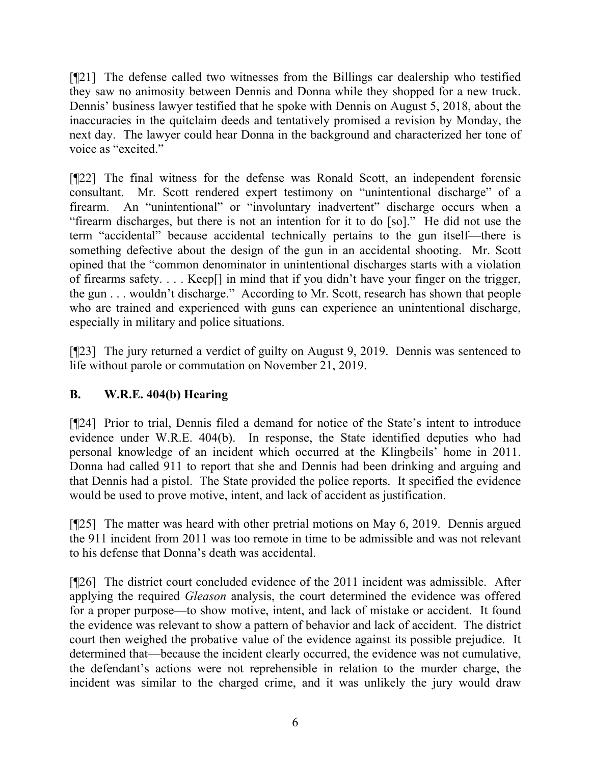[¶21] The defense called two witnesses from the Billings car dealership who testified they saw no animosity between Dennis and Donna while they shopped for a new truck. Dennis' business lawyer testified that he spoke with Dennis on August 5, 2018, about the inaccuracies in the quitclaim deeds and tentatively promised a revision by Monday, the next day. The lawyer could hear Donna in the background and characterized her tone of voice as "excited."

[¶22] The final witness for the defense was Ronald Scott, an independent forensic consultant. Mr. Scott rendered expert testimony on "unintentional discharge" of a firearm. An "unintentional" or "involuntary inadvertent" discharge occurs when a "firearm discharges, but there is not an intention for it to do [so]." He did not use the term "accidental" because accidental technically pertains to the gun itself—there is something defective about the design of the gun in an accidental shooting. Mr. Scott opined that the "common denominator in unintentional discharges starts with a violation of firearms safety. . . . Keep[] in mind that if you didn't have your finger on the trigger, the gun . . . wouldn't discharge." According to Mr. Scott, research has shown that people who are trained and experienced with guns can experience an unintentional discharge, especially in military and police situations.

[¶23] The jury returned a verdict of guilty on August 9, 2019. Dennis was sentenced to life without parole or commutation on November 21, 2019.

# **B. W.R.E. 404(b) Hearing**

[¶24] Prior to trial, Dennis filed a demand for notice of the State's intent to introduce evidence under W.R.E. 404(b). In response, the State identified deputies who had personal knowledge of an incident which occurred at the Klingbeils' home in 2011. Donna had called 911 to report that she and Dennis had been drinking and arguing and that Dennis had a pistol. The State provided the police reports. It specified the evidence would be used to prove motive, intent, and lack of accident as justification.

[¶25] The matter was heard with other pretrial motions on May 6, 2019. Dennis argued the 911 incident from 2011 was too remote in time to be admissible and was not relevant to his defense that Donna's death was accidental.

[¶26] The district court concluded evidence of the 2011 incident was admissible. After applying the required *Gleason* analysis, the court determined the evidence was offered for a proper purpose—to show motive, intent, and lack of mistake or accident. It found the evidence was relevant to show a pattern of behavior and lack of accident. The district court then weighed the probative value of the evidence against its possible prejudice. It determined that—because the incident clearly occurred, the evidence was not cumulative, the defendant's actions were not reprehensible in relation to the murder charge, the incident was similar to the charged crime, and it was unlikely the jury would draw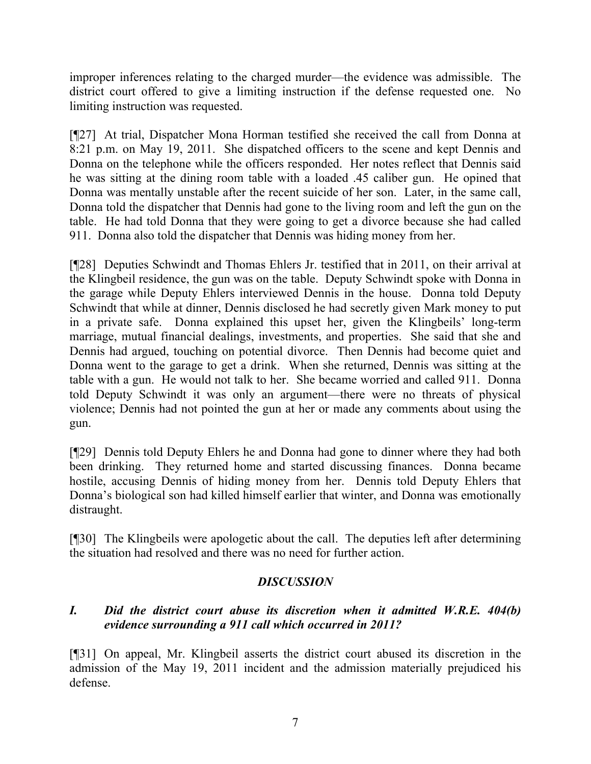improper inferences relating to the charged murder—the evidence was admissible. The district court offered to give a limiting instruction if the defense requested one. No limiting instruction was requested.

[¶27] At trial, Dispatcher Mona Horman testified she received the call from Donna at 8:21 p.m. on May 19, 2011. She dispatched officers to the scene and kept Dennis and Donna on the telephone while the officers responded. Her notes reflect that Dennis said he was sitting at the dining room table with a loaded .45 caliber gun. He opined that Donna was mentally unstable after the recent suicide of her son. Later, in the same call, Donna told the dispatcher that Dennis had gone to the living room and left the gun on the table. He had told Donna that they were going to get a divorce because she had called 911. Donna also told the dispatcher that Dennis was hiding money from her.

[¶28] Deputies Schwindt and Thomas Ehlers Jr. testified that in 2011, on their arrival at the Klingbeil residence, the gun was on the table. Deputy Schwindt spoke with Donna in the garage while Deputy Ehlers interviewed Dennis in the house. Donna told Deputy Schwindt that while at dinner, Dennis disclosed he had secretly given Mark money to put in a private safe. Donna explained this upset her, given the Klingbeils' long-term marriage, mutual financial dealings, investments, and properties. She said that she and Dennis had argued, touching on potential divorce. Then Dennis had become quiet and Donna went to the garage to get a drink. When she returned, Dennis was sitting at the table with a gun. He would not talk to her. She became worried and called 911. Donna told Deputy Schwindt it was only an argument—there were no threats of physical violence; Dennis had not pointed the gun at her or made any comments about using the gun.

[¶29] Dennis told Deputy Ehlers he and Donna had gone to dinner where they had both been drinking. They returned home and started discussing finances. Donna became hostile, accusing Dennis of hiding money from her. Dennis told Deputy Ehlers that Donna's biological son had killed himself earlier that winter, and Donna was emotionally distraught.

[¶30] The Klingbeils were apologetic about the call. The deputies left after determining the situation had resolved and there was no need for further action.

## *DISCUSSION*

# *I. Did the district court abuse its discretion when it admitted W.R.E. 404(b) evidence surrounding a 911 call which occurred in 2011?*

[¶31] On appeal, Mr. Klingbeil asserts the district court abused its discretion in the admission of the May 19, 2011 incident and the admission materially prejudiced his defense.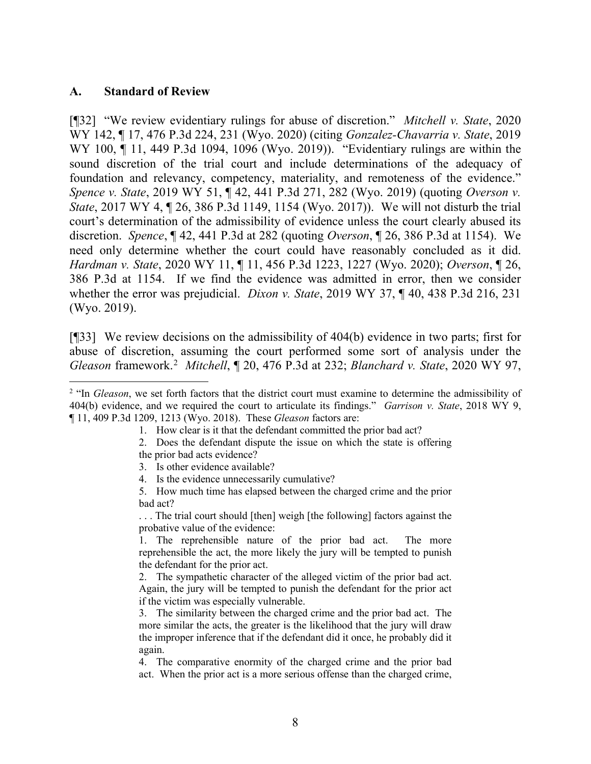#### **A. Standard of Review**

[¶32] "We review evidentiary rulings for abuse of discretion." *Mitchell v. State*, 2020 WY 142, ¶ 17, 476 P.3d 224, 231 (Wyo. 2020) (citing *Gonzalez-Chavarria v. State*, 2019 WY 100, ¶ 11, 449 P.3d 1094, 1096 (Wyo. 2019)). "Evidentiary rulings are within the sound discretion of the trial court and include determinations of the adequacy of foundation and relevancy, competency, materiality, and remoteness of the evidence." *Spence v. State*, 2019 WY 51, ¶ 42, 441 P.3d 271, 282 (Wyo. 2019) (quoting *Overson v. State*, 2017 WY 4, ¶ 26, 386 P.3d 1149, 1154 (Wyo. 2017)). We will not disturb the trial court's determination of the admissibility of evidence unless the court clearly abused its discretion. *Spence*, ¶ 42, 441 P.3d at 282 (quoting *Overson*, ¶ 26, 386 P.3d at 1154). We need only determine whether the court could have reasonably concluded as it did. *Hardman v. State*, 2020 WY 11, ¶ 11, 456 P.3d 1223, 1227 (Wyo. 2020); *Overson*, ¶ 26, 386 P.3d at 1154. If we find the evidence was admitted in error, then we consider whether the error was prejudicial. *Dixon v. State*, 2019 WY 37, ¶ 40, 438 P.3d 216, 231 (Wyo. 2019).

[¶33] We review decisions on the admissibility of 404(b) evidence in two parts; first for abuse of discretion, assuming the court performed some sort of analysis under the *Gleason* framework.[2](#page-8-0) *Mitchell*, ¶ 20, 476 P.3d at 232; *Blanchard v. State*, 2020 WY 97,

1. How clear is it that the defendant committed the prior bad act?

2. Does the defendant dispute the issue on which the state is offering the prior bad acts evidence?

3. Is other evidence available?

4. Is the evidence unnecessarily cumulative?

5. How much time has elapsed between the charged crime and the prior bad act?

. . . The trial court should [then] weigh [the following] factors against the probative value of the evidence:

1. The reprehensible nature of the prior bad act. The more reprehensible the act, the more likely the jury will be tempted to punish the defendant for the prior act.

2. The sympathetic character of the alleged victim of the prior bad act. Again, the jury will be tempted to punish the defendant for the prior act if the victim was especially vulnerable.

3. The similarity between the charged crime and the prior bad act. The more similar the acts, the greater is the likelihood that the jury will draw the improper inference that if the defendant did it once, he probably did it again.

4. The comparative enormity of the charged crime and the prior bad act. When the prior act is a more serious offense than the charged crime,

<span id="page-8-0"></span><sup>&</sup>lt;sup>2</sup> "In *Gleason*, we set forth factors that the district court must examine to determine the admissibility of 404(b) evidence, and we required the court to articulate its findings." *Garrison v. State*, 2018 WY 9, ¶ 11, 409 P.3d 1209, 1213 (Wyo. 2018). These *Gleason* factors are: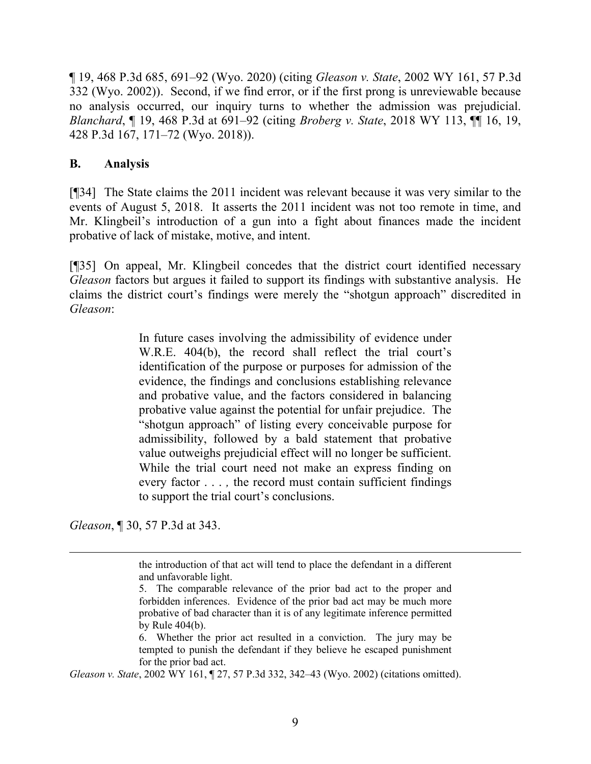¶ 19, 468 P.3d 685, 691–92 (Wyo. 2020) (citing *Gleason v. State*, 2002 WY 161, 57 P.3d 332 (Wyo. 2002)). Second, if we find error, or if the first prong is unreviewable because no analysis occurred, our inquiry turns to whether the admission was prejudicial. *Blanchard*, ¶ 19, 468 P.3d at 691–92 (citing *Broberg v. State*, 2018 WY 113, ¶¶ 16, 19, 428 P.3d 167, 171–72 (Wyo. 2018)).

#### **B. Analysis**

[¶34] The State claims the 2011 incident was relevant because it was very similar to the events of August 5, 2018. It asserts the 2011 incident was not too remote in time, and Mr. Klingbeil's introduction of a gun into a fight about finances made the incident probative of lack of mistake, motive, and intent.

[¶35] On appeal, Mr. Klingbeil concedes that the district court identified necessary *Gleason* factors but argues it failed to support its findings with substantive analysis. He claims the district court's findings were merely the "shotgun approach" discredited in *Gleason*:

> In future cases involving the admissibility of evidence under W.R.E. 404(b), the record shall reflect the trial court's identification of the purpose or purposes for admission of the evidence, the findings and conclusions establishing relevance and probative value, and the factors considered in balancing probative value against the potential for unfair prejudice. The "shotgun approach" of listing every conceivable purpose for admissibility, followed by a bald statement that probative value outweighs prejudicial effect will no longer be sufficient. While the trial court need not make an express finding on every factor . . . *,* the record must contain sufficient findings to support the trial court's conclusions.

*Gleason*, ¶ 30, 57 P.3d at 343.

*Gleason v. State*, 2002 WY 161, ¶ 27, 57 P.3d 332, 342–43 (Wyo. 2002) (citations omitted).

the introduction of that act will tend to place the defendant in a different and unfavorable light.

<sup>5.</sup> The comparable relevance of the prior bad act to the proper and forbidden inferences. Evidence of the prior bad act may be much more probative of bad character than it is of any legitimate inference permitted by Rule 404(b).

<sup>6.</sup> Whether the prior act resulted in a conviction. The jury may be tempted to punish the defendant if they believe he escaped punishment for the prior bad act.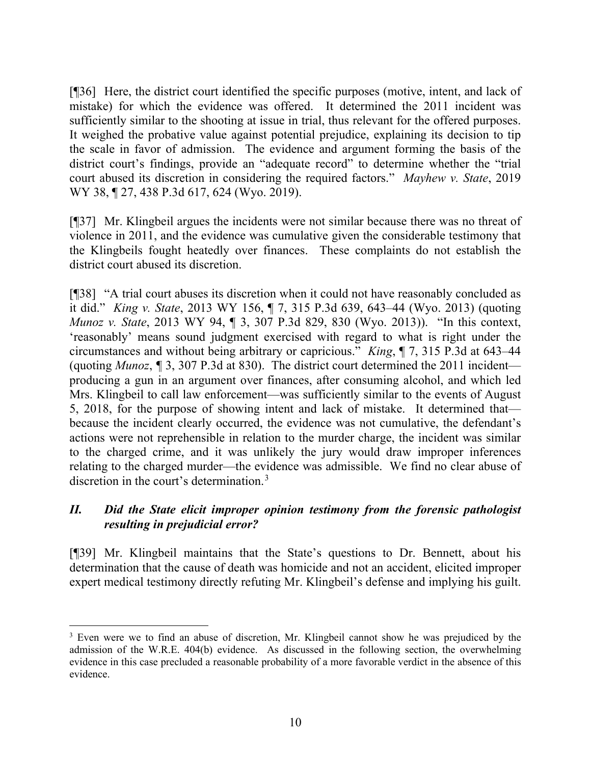[¶36] Here, the district court identified the specific purposes (motive, intent, and lack of mistake) for which the evidence was offered. It determined the 2011 incident was sufficiently similar to the shooting at issue in trial, thus relevant for the offered purposes. It weighed the probative value against potential prejudice, explaining its decision to tip the scale in favor of admission. The evidence and argument forming the basis of the district court's findings, provide an "adequate record" to determine whether the "trial court abused its discretion in considering the required factors." *Mayhew v. State*, 2019 WY 38, 127, 438 P.3d 617, 624 (Wyo. 2019).

[¶37] Mr. Klingbeil argues the incidents were not similar because there was no threat of violence in 2011, and the evidence was cumulative given the considerable testimony that the Klingbeils fought heatedly over finances. These complaints do not establish the district court abused its discretion.

[¶38] "A trial court abuses its discretion when it could not have reasonably concluded as it did." *King v. State*, 2013 WY 156, ¶ 7, 315 P.3d 639, 643–44 (Wyo. 2013) (quoting *Munoz v. State*, 2013 WY 94, ¶ 3, 307 P.3d 829, 830 (Wyo. 2013)). "In this context, 'reasonably' means sound judgment exercised with regard to what is right under the circumstances and without being arbitrary or capricious." *King*, ¶ 7, 315 P.3d at 643–44 (quoting *Munoz*, *¶* 3, 307 P.3d at 830). The district court determined the 2011 incident producing a gun in an argument over finances, after consuming alcohol, and which led Mrs. Klingbeil to call law enforcement—was sufficiently similar to the events of August 5, 2018, for the purpose of showing intent and lack of mistake. It determined that because the incident clearly occurred, the evidence was not cumulative, the defendant's actions were not reprehensible in relation to the murder charge, the incident was similar to the charged crime, and it was unlikely the jury would draw improper inferences relating to the charged murder—the evidence was admissible. We find no clear abuse of discretion in the court's determination.[3](#page-10-0)

# *II. Did the State elicit improper opinion testimony from the forensic pathologist resulting in prejudicial error?*

[¶39] Mr. Klingbeil maintains that the State's questions to Dr. Bennett, about his determination that the cause of death was homicide and not an accident, elicited improper expert medical testimony directly refuting Mr. Klingbeil's defense and implying his guilt.

<span id="page-10-0"></span><sup>&</sup>lt;sup>3</sup> Even were we to find an abuse of discretion, Mr. Klingbeil cannot show he was prejudiced by the admission of the W.R.E. 404(b) evidence. As discussed in the following section, the overwhelming evidence in this case precluded a reasonable probability of a more favorable verdict in the absence of this evidence.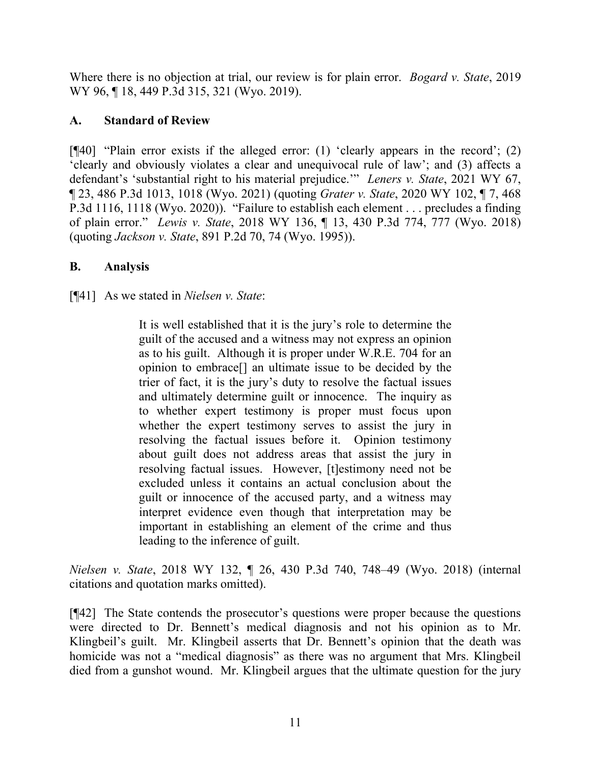Where there is no objection at trial, our review is for plain error. *Bogard v. State*, 2019 WY 96, ¶ 18, 449 P.3d 315, 321 (Wyo. 2019).

# **A. Standard of Review**

[¶40] "Plain error exists if the alleged error: (1) 'clearly appears in the record'; (2) 'clearly and obviously violates a clear and unequivocal rule of law'; and (3) affects a defendant's 'substantial right to his material prejudice.'" *Leners v. State*, 2021 WY 67, ¶ 23, 486 P.3d 1013, 1018 (Wyo. 2021) (quoting *Grater v. State*, 2020 WY 102, ¶ 7, 468 P.3d 1116, 1118 (Wyo. 2020)). "Failure to establish each element . . . precludes a finding of plain error." *Lewis v. State*, 2018 WY 136, ¶ 13, 430 P.3d 774, 777 (Wyo. 2018) (quoting *Jackson v. State*, 891 P.2d 70, 74 (Wyo. 1995)).

# **B. Analysis**

[¶41] As we stated in *Nielsen v. State*:

It is well established that it is the jury's role to determine the guilt of the accused and a witness may not express an opinion as to his guilt. Although it is proper under W.R.E. 704 for an opinion to embrace[] an ultimate issue to be decided by the trier of fact, it is the jury's duty to resolve the factual issues and ultimately determine guilt or innocence. The inquiry as to whether expert testimony is proper must focus upon whether the expert testimony serves to assist the jury in resolving the factual issues before it. Opinion testimony about guilt does not address areas that assist the jury in resolving factual issues. However, [t]estimony need not be excluded unless it contains an actual conclusion about the guilt or innocence of the accused party, and a witness may interpret evidence even though that interpretation may be important in establishing an element of the crime and thus leading to the inference of guilt.

*Nielsen v. State*, 2018 WY 132, ¶ 26, 430 P.3d 740, 748–49 (Wyo. 2018) (internal citations and quotation marks omitted).

[¶42] The State contends the prosecutor's questions were proper because the questions were directed to Dr. Bennett's medical diagnosis and not his opinion as to Mr. Klingbeil's guilt. Mr. Klingbeil asserts that Dr. Bennett's opinion that the death was homicide was not a "medical diagnosis" as there was no argument that Mrs. Klingbeil died from a gunshot wound. Mr. Klingbeil argues that the ultimate question for the jury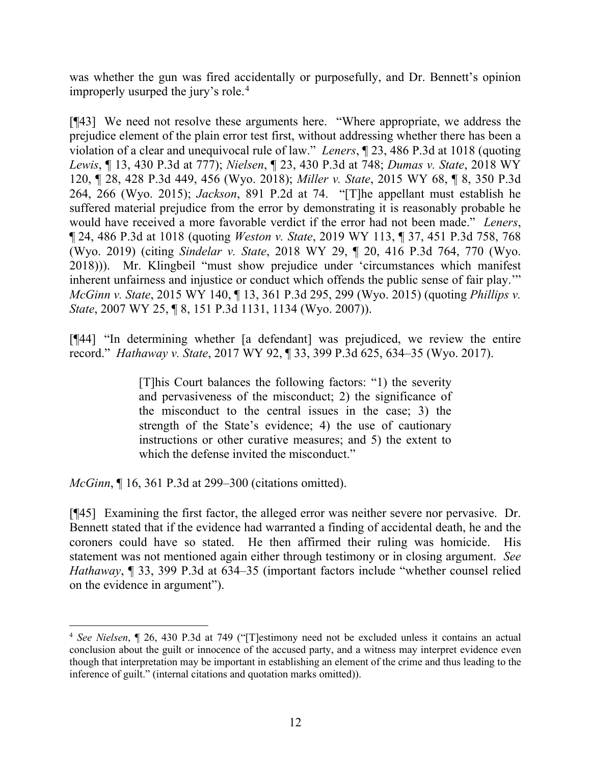was whether the gun was fired accidentally or purposefully, and Dr. Bennett's opinion improperly usurped the jury's role. [4](#page-12-0)

[¶43] We need not resolve these arguments here. "Where appropriate, we address the prejudice element of the plain error test first, without addressing whether there has been a violation of a clear and unequivocal rule of law." *Leners*, ¶ 23, 486 P.3d at 1018 (quoting *Lewis*, ¶ 13, 430 P.3d at 777); *Nielsen*, ¶ 23, 430 P.3d at 748; *Dumas v. State*, 2018 WY 120, ¶ 28, 428 P.3d 449, 456 (Wyo. 2018); *Miller v. State*, 2015 WY 68, ¶ 8, 350 P.3d 264, 266 (Wyo. 2015); *Jackson*, 891 P.2d at 74. "[T]he appellant must establish he suffered material prejudice from the error by demonstrating it is reasonably probable he would have received a more favorable verdict if the error had not been made." *Leners*, ¶ 24, 486 P.3d at 1018 (quoting *Weston v. State*, 2019 WY 113, ¶ 37, 451 P.3d 758, 768 (Wyo. 2019) (citing *Sindelar v. State*, 2018 WY 29, ¶ 20, 416 P.3d 764, 770 (Wyo. 2018))). Mr. Klingbeil "must show prejudice under 'circumstances which manifest inherent unfairness and injustice or conduct which offends the public sense of fair play.'" *McGinn v. State*, 2015 WY 140, ¶ 13, 361 P.3d 295, 299 (Wyo. 2015) (quoting *Phillips v. State*, 2007 WY 25, ¶ 8, 151 P.3d 1131, 1134 (Wyo. 2007)).

[¶44] "In determining whether [a defendant] was prejudiced, we review the entire record." *Hathaway v. State*, 2017 WY 92, ¶ 33, 399 P.3d 625, 634–35 (Wyo. 2017).

> [T]his Court balances the following factors: "1) the severity and pervasiveness of the misconduct; 2) the significance of the misconduct to the central issues in the case; 3) the strength of the State's evidence; 4) the use of cautionary instructions or other curative measures; and 5) the extent to which the defense invited the misconduct."

*McGinn*, ¶ 16, 361 P.3d at 299–300 (citations omitted).

[¶45] Examining the first factor, the alleged error was neither severe nor pervasive. Dr. Bennett stated that if the evidence had warranted a finding of accidental death, he and the coroners could have so stated. He then affirmed their ruling was homicide. His statement was not mentioned again either through testimony or in closing argument. *See Hathaway*, ¶ 33, 399 P.3d at 634–35 (important factors include "whether counsel relied on the evidence in argument").

<span id="page-12-0"></span><sup>4</sup> *See Nielsen*, ¶ 26, 430 P.3d at 749 ("[T]estimony need not be excluded unless it contains an actual conclusion about the guilt or innocence of the accused party, and a witness may interpret evidence even though that interpretation may be important in establishing an element of the crime and thus leading to the inference of guilt." (internal citations and quotation marks omitted)).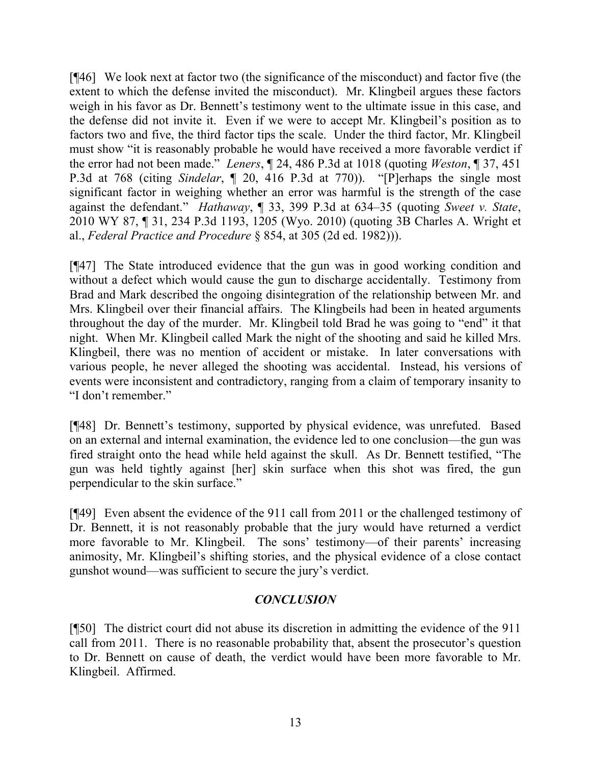[¶46] We look next at factor two (the significance of the misconduct) and factor five (the extent to which the defense invited the misconduct). Mr. Klingbeil argues these factors weigh in his favor as Dr. Bennett's testimony went to the ultimate issue in this case, and the defense did not invite it. Even if we were to accept Mr. Klingbeil's position as to factors two and five, the third factor tips the scale. Under the third factor, Mr. Klingbeil must show "it is reasonably probable he would have received a more favorable verdict if the error had not been made." *Leners*, ¶ 24, 486 P.3d at 1018 (quoting *Weston*, ¶ 37, 451 P.3d at 768 (citing *Sindelar*, ¶ 20, 416 P.3d at 770)). "[P]erhaps the single most significant factor in weighing whether an error was harmful is the strength of the case against the defendant." *Hathaway*, ¶ 33, 399 P.3d at 634–35 (quoting *Sweet v. State*, 2010 WY 87, ¶ 31, 234 P.3d 1193, 1205 (Wyo. 2010) (quoting 3B Charles A. Wright et al., *Federal Practice and Procedure* § 854, at 305 (2d ed. 1982))).

[¶47] The State introduced evidence that the gun was in good working condition and without a defect which would cause the gun to discharge accidentally. Testimony from Brad and Mark described the ongoing disintegration of the relationship between Mr. and Mrs. Klingbeil over their financial affairs. The Klingbeils had been in heated arguments throughout the day of the murder. Mr. Klingbeil told Brad he was going to "end" it that night. When Mr. Klingbeil called Mark the night of the shooting and said he killed Mrs. Klingbeil, there was no mention of accident or mistake. In later conversations with various people, he never alleged the shooting was accidental. Instead, his versions of events were inconsistent and contradictory, ranging from a claim of temporary insanity to "I don't remember."

[¶48] Dr. Bennett's testimony, supported by physical evidence, was unrefuted. Based on an external and internal examination, the evidence led to one conclusion—the gun was fired straight onto the head while held against the skull. As Dr. Bennett testified, "The gun was held tightly against [her] skin surface when this shot was fired, the gun perpendicular to the skin surface."

[¶49] Even absent the evidence of the 911 call from 2011 or the challenged testimony of Dr. Bennett, it is not reasonably probable that the jury would have returned a verdict more favorable to Mr. Klingbeil. The sons' testimony—of their parents' increasing animosity, Mr. Klingbeil's shifting stories, and the physical evidence of a close contact gunshot wound—was sufficient to secure the jury's verdict.

## *CONCLUSION*

[¶50] The district court did not abuse its discretion in admitting the evidence of the 911 call from 2011. There is no reasonable probability that, absent the prosecutor's question to Dr. Bennett on cause of death, the verdict would have been more favorable to Mr. Klingbeil. Affirmed.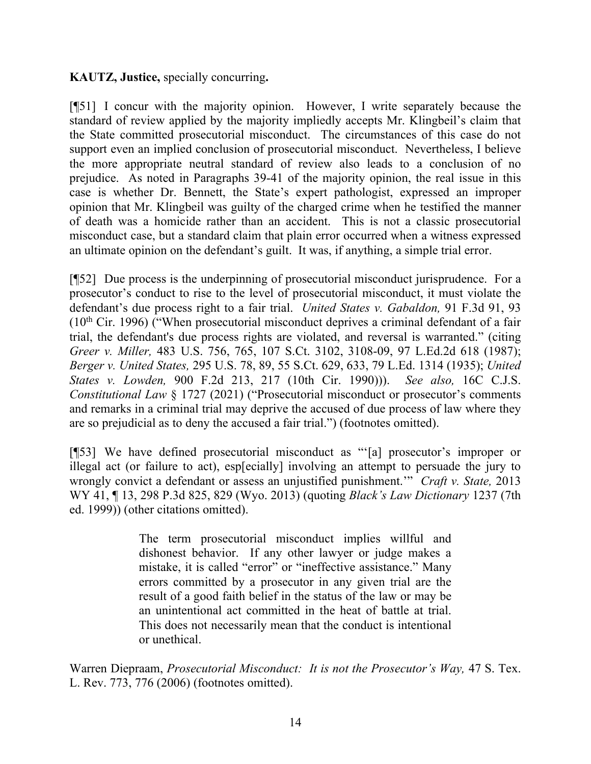## **KAUTZ, Justice,** specially concurring**.**

[¶51] I concur with the majority opinion. However, I write separately because the standard of review applied by the majority impliedly accepts Mr. Klingbeil's claim that the State committed prosecutorial misconduct. The circumstances of this case do not support even an implied conclusion of prosecutorial misconduct. Nevertheless, I believe the more appropriate neutral standard of review also leads to a conclusion of no prejudice. As noted in Paragraphs 39-41 of the majority opinion, the real issue in this case is whether Dr. Bennett, the State's expert pathologist, expressed an improper opinion that Mr. Klingbeil was guilty of the charged crime when he testified the manner of death was a homicide rather than an accident. This is not a classic prosecutorial misconduct case, but a standard claim that plain error occurred when a witness expressed an ultimate opinion on the defendant's guilt. It was, if anything, a simple trial error.

[¶52] Due process is the underpinning of prosecutorial misconduct jurisprudence. For a prosecutor's conduct to rise to the level of prosecutorial misconduct, it must violate the defendant's due process right to a fair trial. *United States v. Gabaldon,* 91 F.3d 91, 93  $(10<sup>th</sup>$  Cir. 1996) ("When prosecutorial misconduct deprives a criminal defendant of a fair trial, the defendant's due process rights are violated, and reversal is warranted." (citing *Greer v. Miller,* 483 U.S. 756, 765, 107 S.Ct. 3102, 3108-09, 97 L.Ed.2d 618 (1987); *Berger v. United States,* 295 U.S. 78, 89, 55 S.Ct. 629, 633, 79 L.Ed. 1314 (1935); *United States v. Lowden,* 900 F.2d 213, 217 (10th Cir. 1990))). *See also,* 16C C.J.S. *Constitutional Law* § 1727 (2021) ("Prosecutorial misconduct or prosecutor's comments and remarks in a criminal trial may deprive the accused of due process of law where they are so prejudicial as to deny the accused a fair trial.") (footnotes omitted).

[¶53] We have defined prosecutorial misconduct as "'[a] prosecutor's improper or illegal act (or failure to act), esp[ecially] involving an attempt to persuade the jury to wrongly convict a defendant or assess an unjustified punishment.'" *Craft v. State,* 2013 WY 41, ¶ 13, 298 P.3d 825, 829 (Wyo. 2013) (quoting *Black's Law Dictionary* 1237 (7th ed. 1999)) (other citations omitted).

> The term prosecutorial misconduct implies willful and dishonest behavior. If any other lawyer or judge makes a mistake, it is called "error" or "ineffective assistance." Many errors committed by a prosecutor in any given trial are the result of a good faith belief in the status of the law or may be an unintentional act committed in the heat of battle at trial. This does not necessarily mean that the conduct is intentional or unethical.

Warren Diepraam, *Prosecutorial Misconduct: It is not the Prosecutor's Way,* 47 S. Tex. L. Rev. 773, 776 (2006) (footnotes omitted).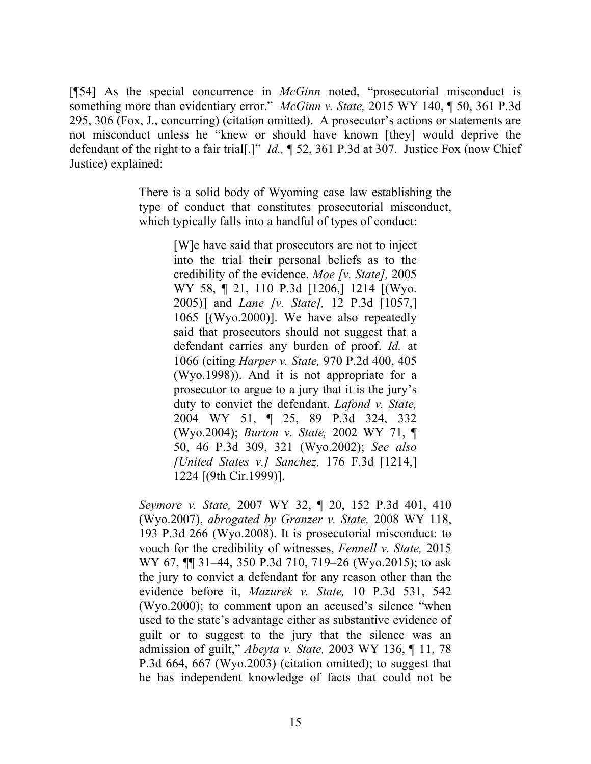[¶54] As the special concurrence in *McGinn* noted, "prosecutorial misconduct is something more than evidentiary error." *McGinn v. State,* 2015 WY 140, ¶ 50, 361 P.3d 295, 306 (Fox, J., concurring) (citation omitted). A prosecutor's actions or statements are not misconduct unless he "knew or should have known [they] would deprive the defendant of the right to a fair trial[.]" *Id.,* ¶ 52, 361 P.3d at 307. Justice Fox (now Chief Justice) explained:

> There is a solid body of Wyoming case law establishing the type of conduct that constitutes prosecutorial misconduct, which typically falls into a handful of types of conduct:

> > [W]e have said that prosecutors are not to inject into the trial their personal beliefs as to the credibility of the evidence. *Moe [v. State],* 2005 WY 58, ¶ 21, 110 P.3d [1206,] 1214 [(Wyo. 2005)] and *Lane [v. State],* 12 P.3d [1057,] 1065 [(Wyo.2000)]. We have also repeatedly said that prosecutors should not suggest that a defendant carries any burden of proof. *Id.* at 1066 (citing *Harper v. State,* 970 P.2d 400, 405 (Wyo.1998)). And it is not appropriate for a prosecutor to argue to a jury that it is the jury's duty to convict the defendant. *Lafond v. State,* 2004 WY 51, ¶ 25, 89 P.3d 324, 332 (Wyo.2004); *Burton v. State,* 2002 WY 71, ¶ 50, 46 P.3d 309, 321 (Wyo.2002); *See also [United States v.] Sanchez,* [176 F.3d \[1214,\]](http://www.westlaw.com/Link/Document/FullText?findType=Y&serNum=1999131654&pubNum=0000506&originatingDoc=Ic4922925858711e5b86bd602cb8781fa&refType=RP&fi=co_pp_sp_506_1224&originationContext=document&vr=3.0&rs=cblt1.0&transitionType=DocumentItem&contextData=(sc.Search)#co_pp_sp_506_1224)  [1224](http://www.westlaw.com/Link/Document/FullText?findType=Y&serNum=1999131654&pubNum=0000506&originatingDoc=Ic4922925858711e5b86bd602cb8781fa&refType=RP&fi=co_pp_sp_506_1224&originationContext=document&vr=3.0&rs=cblt1.0&transitionType=DocumentItem&contextData=(sc.Search)#co_pp_sp_506_1224) [(9th Cir.1999)].

*Seymore v. State,* [2007 WY 32, ¶ 20, 152 P.3d 401, 410](http://www.westlaw.com/Link/Document/FullText?findType=Y&serNum=2011514244&pubNum=0004645&originatingDoc=Ic4922925858711e5b86bd602cb8781fa&refType=RP&fi=co_pp_sp_4645_410&originationContext=document&vr=3.0&rs=cblt1.0&transitionType=DocumentItem&contextData=(sc.Search)#co_pp_sp_4645_410)  [\(Wyo.2007\),](http://www.westlaw.com/Link/Document/FullText?findType=Y&serNum=2011514244&pubNum=0004645&originatingDoc=Ic4922925858711e5b86bd602cb8781fa&refType=RP&fi=co_pp_sp_4645_410&originationContext=document&vr=3.0&rs=cblt1.0&transitionType=DocumentItem&contextData=(sc.Search)#co_pp_sp_4645_410) *abrogated by [Granzer v. State,](http://www.westlaw.com/Link/Document/FullText?findType=Y&serNum=2017221814&pubNum=0004645&originatingDoc=Ic4922925858711e5b86bd602cb8781fa&refType=RP&originationContext=document&vr=3.0&rs=cblt1.0&transitionType=DocumentItem&contextData=(sc.Search))* 2008 WY 118, [193 P.3d 266 \(Wyo.2008\).](http://www.westlaw.com/Link/Document/FullText?findType=Y&serNum=2017221814&pubNum=0004645&originatingDoc=Ic4922925858711e5b86bd602cb8781fa&refType=RP&originationContext=document&vr=3.0&rs=cblt1.0&transitionType=DocumentItem&contextData=(sc.Search)) It is prosecutorial misconduct: to vouch for the credibility of witnesses, *[Fennell v. State,](http://www.westlaw.com/Link/Document/FullText?findType=Y&serNum=2036255668&pubNum=0004645&originatingDoc=Ic4922925858711e5b86bd602cb8781fa&refType=RP&fi=co_pp_sp_4645_719&originationContext=document&vr=3.0&rs=cblt1.0&transitionType=DocumentItem&contextData=(sc.Search)#co_pp_sp_4645_719)* 2015 [WY 67, ¶¶ 31–44, 350 P.3d 710, 719–26 \(Wyo.2015\);](http://www.westlaw.com/Link/Document/FullText?findType=Y&serNum=2036255668&pubNum=0004645&originatingDoc=Ic4922925858711e5b86bd602cb8781fa&refType=RP&fi=co_pp_sp_4645_719&originationContext=document&vr=3.0&rs=cblt1.0&transitionType=DocumentItem&contextData=(sc.Search)#co_pp_sp_4645_719) to ask the jury to convict a defendant for any reason other than the evidence before it, *Mazurek v. State,* [10 P.3d 531, 542](http://www.westlaw.com/Link/Document/FullText?findType=Y&serNum=2000478820&pubNum=0004645&originatingDoc=Ic4922925858711e5b86bd602cb8781fa&refType=RP&fi=co_pp_sp_4645_542&originationContext=document&vr=3.0&rs=cblt1.0&transitionType=DocumentItem&contextData=(sc.Search)#co_pp_sp_4645_542)  [\(Wyo.2000\);](http://www.westlaw.com/Link/Document/FullText?findType=Y&serNum=2000478820&pubNum=0004645&originatingDoc=Ic4922925858711e5b86bd602cb8781fa&refType=RP&fi=co_pp_sp_4645_542&originationContext=document&vr=3.0&rs=cblt1.0&transitionType=DocumentItem&contextData=(sc.Search)#co_pp_sp_4645_542) to comment upon an accused's silence "when used to the state's advantage either as substantive evidence of guilt or to suggest to the jury that the silence was an admission of guilt," *Abeyta v. State,* [2003 WY 136, ¶ 11, 78](http://www.westlaw.com/Link/Document/FullText?findType=Y&serNum=2003728284&pubNum=0004645&originatingDoc=Ic4922925858711e5b86bd602cb8781fa&refType=RP&fi=co_pp_sp_4645_667&originationContext=document&vr=3.0&rs=cblt1.0&transitionType=DocumentItem&contextData=(sc.Search)#co_pp_sp_4645_667)  [P.3d 664, 667 \(Wyo.2003\)](http://www.westlaw.com/Link/Document/FullText?findType=Y&serNum=2003728284&pubNum=0004645&originatingDoc=Ic4922925858711e5b86bd602cb8781fa&refType=RP&fi=co_pp_sp_4645_667&originationContext=document&vr=3.0&rs=cblt1.0&transitionType=DocumentItem&contextData=(sc.Search)#co_pp_sp_4645_667) (citation omitted); to suggest that he has independent knowledge of facts that could not be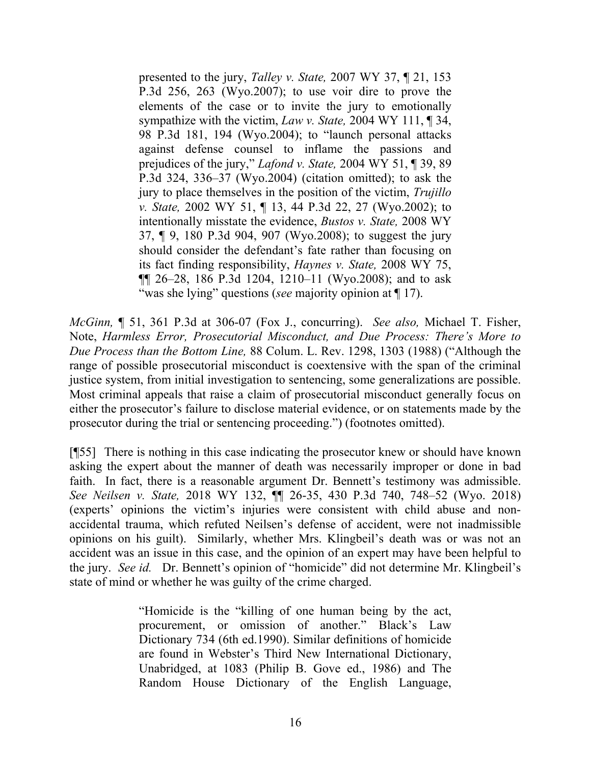presented to the jury, *Talley v. State,* [2007 WY 37, ¶ 21, 153](http://www.westlaw.com/Link/Document/FullText?findType=Y&serNum=2011605667&pubNum=0004645&originatingDoc=Ic4922925858711e5b86bd602cb8781fa&refType=RP&fi=co_pp_sp_4645_263&originationContext=document&vr=3.0&rs=cblt1.0&transitionType=DocumentItem&contextData=(sc.Search)#co_pp_sp_4645_263)  [P.3d 256, 263 \(Wyo.2007\);](http://www.westlaw.com/Link/Document/FullText?findType=Y&serNum=2011605667&pubNum=0004645&originatingDoc=Ic4922925858711e5b86bd602cb8781fa&refType=RP&fi=co_pp_sp_4645_263&originationContext=document&vr=3.0&rs=cblt1.0&transitionType=DocumentItem&contextData=(sc.Search)#co_pp_sp_4645_263) to use voir dire to prove the elements of the case or to invite the jury to emotionally sympathize with the victim, *Law v. State,* [2004 WY 111, ¶ 34,](http://www.westlaw.com/Link/Document/FullText?findType=Y&serNum=2005139511&pubNum=0004645&originatingDoc=Ic4922925858711e5b86bd602cb8781fa&refType=RP&fi=co_pp_sp_4645_194&originationContext=document&vr=3.0&rs=cblt1.0&transitionType=DocumentItem&contextData=(sc.Search)#co_pp_sp_4645_194)  [98 P.3d 181, 194 \(Wyo.2004\);](http://www.westlaw.com/Link/Document/FullText?findType=Y&serNum=2005139511&pubNum=0004645&originatingDoc=Ic4922925858711e5b86bd602cb8781fa&refType=RP&fi=co_pp_sp_4645_194&originationContext=document&vr=3.0&rs=cblt1.0&transitionType=DocumentItem&contextData=(sc.Search)#co_pp_sp_4645_194) to "launch personal attacks against defense counsel to inflame the passions and prejudices of the jury," *Lafond v. State,* [2004 WY 51, ¶ 39, 89](http://www.westlaw.com/Link/Document/FullText?findType=Y&serNum=2004413948&pubNum=0004645&originatingDoc=Ic4922925858711e5b86bd602cb8781fa&refType=RP&fi=co_pp_sp_4645_336&originationContext=document&vr=3.0&rs=cblt1.0&transitionType=DocumentItem&contextData=(sc.Search)#co_pp_sp_4645_336)  [P.3d 324, 336–37 \(Wyo.2004\)](http://www.westlaw.com/Link/Document/FullText?findType=Y&serNum=2004413948&pubNum=0004645&originatingDoc=Ic4922925858711e5b86bd602cb8781fa&refType=RP&fi=co_pp_sp_4645_336&originationContext=document&vr=3.0&rs=cblt1.0&transitionType=DocumentItem&contextData=(sc.Search)#co_pp_sp_4645_336) (citation omitted); to ask the jury to place themselves in the position of the victim, *[Trujillo](http://www.westlaw.com/Link/Document/FullText?findType=Y&serNum=2002231808&pubNum=0004645&originatingDoc=Ic4922925858711e5b86bd602cb8781fa&refType=RP&fi=co_pp_sp_4645_27&originationContext=document&vr=3.0&rs=cblt1.0&transitionType=DocumentItem&contextData=(sc.Search)#co_pp_sp_4645_27)  v. State,* [2002 WY 51, ¶ 13, 44 P.3d 22, 27 \(Wyo.2002\);](http://www.westlaw.com/Link/Document/FullText?findType=Y&serNum=2002231808&pubNum=0004645&originatingDoc=Ic4922925858711e5b86bd602cb8781fa&refType=RP&fi=co_pp_sp_4645_27&originationContext=document&vr=3.0&rs=cblt1.0&transitionType=DocumentItem&contextData=(sc.Search)#co_pp_sp_4645_27) to intentionally misstate the evidence, *[Bustos v. State,](http://www.westlaw.com/Link/Document/FullText?findType=Y&serNum=2015735973&pubNum=0004645&originatingDoc=Ic4922925858711e5b86bd602cb8781fa&refType=RP&fi=co_pp_sp_4645_907&originationContext=document&vr=3.0&rs=cblt1.0&transitionType=DocumentItem&contextData=(sc.Search)#co_pp_sp_4645_907)* 2008 WY [37, ¶ 9, 180 P.3d 904, 907 \(Wyo.2008\);](http://www.westlaw.com/Link/Document/FullText?findType=Y&serNum=2015735973&pubNum=0004645&originatingDoc=Ic4922925858711e5b86bd602cb8781fa&refType=RP&fi=co_pp_sp_4645_907&originationContext=document&vr=3.0&rs=cblt1.0&transitionType=DocumentItem&contextData=(sc.Search)#co_pp_sp_4645_907) to suggest the jury should consider the defendant's fate rather than focusing on its fact finding responsibility, *[Haynes v. State,](http://www.westlaw.com/Link/Document/FullText?findType=Y&serNum=2016437901&pubNum=0004645&originatingDoc=Ic4922925858711e5b86bd602cb8781fa&refType=RP&fi=co_pp_sp_4645_1210&originationContext=document&vr=3.0&rs=cblt1.0&transitionType=DocumentItem&contextData=(sc.Search)#co_pp_sp_4645_1210)* 2008 WY 75, [¶¶ 26–28, 186 P.3d 1204, 1210–11 \(Wyo.2008\);](http://www.westlaw.com/Link/Document/FullText?findType=Y&serNum=2016437901&pubNum=0004645&originatingDoc=Ic4922925858711e5b86bd602cb8781fa&refType=RP&fi=co_pp_sp_4645_1210&originationContext=document&vr=3.0&rs=cblt1.0&transitionType=DocumentItem&contextData=(sc.Search)#co_pp_sp_4645_1210) and to ask "was she lying" questions (*see* majority opinion at  $\P$  17).

*McGinn,* ¶ 51, 361 P.3d at 306-07 (Fox J., concurring). *See also,* Michael T. Fisher, Note, *Harmless Error, Prosecutorial Misconduct, and Due Process: There's More to Due Process than the Bottom Line,* 88 Colum. L. Rev. 1298, 1303 (1988) ("Although the range of possible prosecutorial misconduct is coextensive with the span of the criminal justice system, from initial investigation to sentencing, some generalizations are possible. Most criminal appeals that raise a claim of prosecutorial misconduct generally focus on either the prosecutor's failure to disclose material evidence, or on statements made by the prosecutor during the trial or sentencing proceeding.") (footnotes omitted).

[¶55] There is nothing in this case indicating the prosecutor knew or should have known asking the expert about the manner of death was necessarily improper or done in bad faith. In fact, there is a reasonable argument Dr. Bennett's testimony was admissible. *See Neilsen v. State,* 2018 WY 132, ¶¶ 26-35, 430 P.3d 740, 748–52 (Wyo. 2018) (experts' opinions the victim's injuries were consistent with child abuse and nonaccidental trauma, which refuted Neilsen's defense of accident, were not inadmissible opinions on his guilt). Similarly, whether Mrs. Klingbeil's death was or was not an accident was an issue in this case, and the opinion of an expert may have been helpful to the jury. *See id.* Dr. Bennett's opinion of "homicide" did not determine Mr. Klingbeil's state of mind or whether he was guilty of the crime charged.

> "Homicide is the "killing of one human being by the act, procurement, or omission of another." Black's Law Dictionary 734 (6th ed.1990). Similar definitions of homicide are found in Webster's Third New International Dictionary, Unabridged, at 1083 (Philip B. Gove ed., 1986) and The Random House Dictionary of the English Language,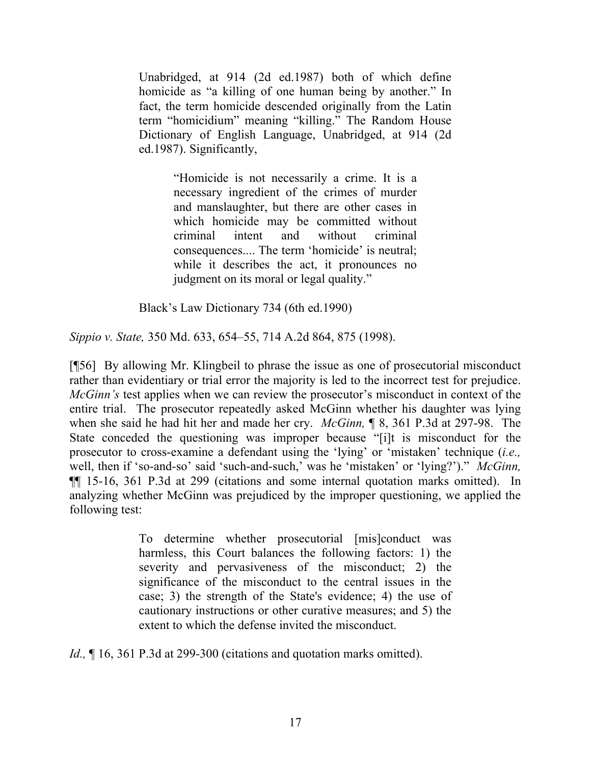Unabridged, at 914 (2d ed.1987) both of which define homicide as "a killing of one human being by another." In fact, the term homicide descended originally from the Latin term "homicidium" meaning "killing." The Random House Dictionary of English Language, Unabridged, at 914 (2d ed.1987). Significantly,

> "Homicide is not necessarily a crime. It is a necessary ingredient of the crimes of murder and manslaughter, but there are other cases in which homicide may be committed without criminal intent and without criminal consequences.... The term 'homicide' is neutral; while it describes the act, it pronounces no judgment on its moral or legal quality."

Black's Law Dictionary 734 (6th ed.1990)

*Sippio v. State,* 350 Md. 633, 654–55, 714 A.2d 864, 875 (1998).

[¶56] By allowing Mr. Klingbeil to phrase the issue as one of prosecutorial misconduct rather than evidentiary or trial error the majority is led to the incorrect test for prejudice. *McGinn's* test applies when we can review the prosecutor's misconduct in context of the entire trial. The prosecutor repeatedly asked McGinn whether his daughter was lying when she said he had hit her and made her cry. *McGinn,* ¶ 8, 361 P.3d at 297-98. The State conceded the questioning was improper because "[i]t is misconduct for the prosecutor to cross-examine a defendant using the 'lying' or 'mistaken' technique (*i.e.,* well, then if 'so-and-so' said 'such-and-such,' was he 'mistaken' or 'lying?')." *McGinn,*  ¶¶ 15-16, 361 P.3d at 299 (citations and some internal quotation marks omitted). In analyzing whether McGinn was prejudiced by the improper questioning, we applied the following test:

> To determine whether prosecutorial [mis]conduct was harmless, this Court balances the following factors: 1) the severity and pervasiveness of the misconduct; 2) the significance of the misconduct to the central issues in the case; 3) the strength of the State's evidence; 4) the use of cautionary instructions or other curative measures; and 5) the extent to which the defense invited the misconduct.

*Id.*, 16, 361 P.3d at 299-300 (citations and quotation marks omitted).